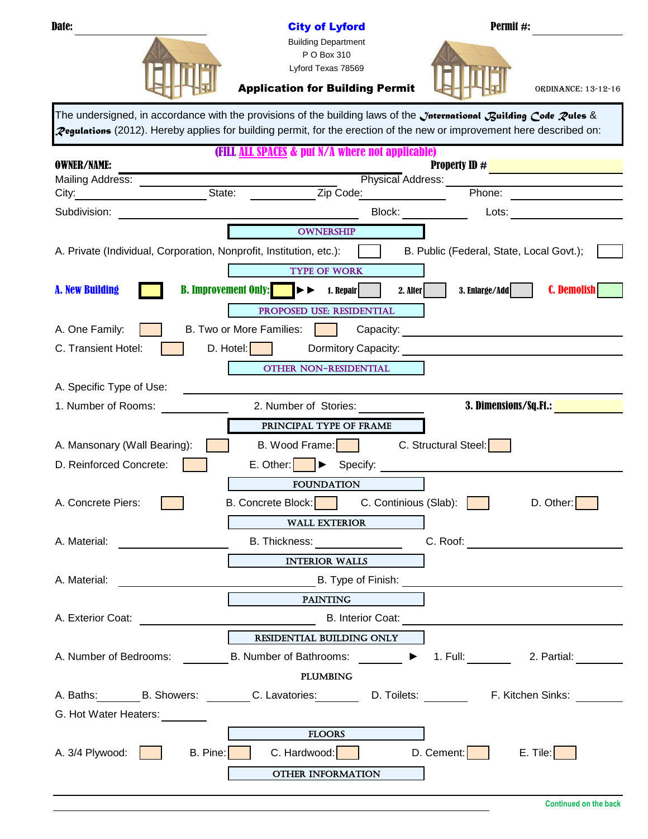| <b>Date:</b>                                                                                                                                                                                                                   | <b>City of Lyford</b>                                                                                                        | Permit #:                                                                            |
|--------------------------------------------------------------------------------------------------------------------------------------------------------------------------------------------------------------------------------|------------------------------------------------------------------------------------------------------------------------------|--------------------------------------------------------------------------------------|
|                                                                                                                                                                                                                                | <b>Building Department</b>                                                                                                   |                                                                                      |
|                                                                                                                                                                                                                                | P O Box 310<br>Lyford Texas 78569                                                                                            |                                                                                      |
|                                                                                                                                                                                                                                |                                                                                                                              |                                                                                      |
|                                                                                                                                                                                                                                | <b>Application for Building Permit</b>                                                                                       | <b>ORDINANCE: 13-12-16</b>                                                           |
|                                                                                                                                                                                                                                | The undersigned, in accordance with the provisions of the building laws of the <i>Jnternational Building Code Pules</i> &    |                                                                                      |
|                                                                                                                                                                                                                                | <b>Zegulations</b> (2012). Hereby applies for building permit, for the erection of the new or improvement here described on: |                                                                                      |
|                                                                                                                                                                                                                                | (FILL ALL SPACES & put N/A where not applicable)                                                                             |                                                                                      |
| <b>OWNER/NAME:</b>                                                                                                                                                                                                             |                                                                                                                              | <b>Property ID #</b>                                                                 |
| Mailing Address: __________<br>State:                                                                                                                                                                                          | <b>Physical Address:</b><br>Zip Code:                                                                                        | <u> 1980 - John Barnett, fransk konge</u><br>Phone:                                  |
| City:                                                                                                                                                                                                                          |                                                                                                                              |                                                                                      |
| Subdivision:                                                                                                                                                                                                                   | Block: <b>Example</b>                                                                                                        | Lots:                                                                                |
|                                                                                                                                                                                                                                | <b>OWNERSHIP</b>                                                                                                             |                                                                                      |
| A. Private (Individual, Corporation, Nonprofit, Institution, etc.):                                                                                                                                                            |                                                                                                                              | B. Public (Federal, State, Local Govt.);                                             |
|                                                                                                                                                                                                                                | <b>TYPE OF WORK</b>                                                                                                          |                                                                                      |
| <b>B. Improvement Only:</b><br><b>A. New Building</b>                                                                                                                                                                          | $\blacktriangleright\blacktriangleright$<br>1. Repair<br>2. Alter                                                            | <b>C. Demolish</b><br>3. Enlarge/Add                                                 |
|                                                                                                                                                                                                                                | PROPOSED USE: RESIDENTIAL                                                                                                    |                                                                                      |
| A. One Family:                                                                                                                                                                                                                 | B. Two or More Families:                                                                                                     |                                                                                      |
| C. Transient Hotel:<br>$D.$ Hotel:                                                                                                                                                                                             |                                                                                                                              |                                                                                      |
|                                                                                                                                                                                                                                | OTHER NON-RESIDENTIAL                                                                                                        |                                                                                      |
| A. Specific Type of Use:                                                                                                                                                                                                       |                                                                                                                              |                                                                                      |
| 1. Number of Rooms:                                                                                                                                                                                                            | 2. Number of Stories:                                                                                                        | 3. Dimensions/Sq.Ft.:                                                                |
|                                                                                                                                                                                                                                | PRINCIPAL TYPE OF FRAME                                                                                                      |                                                                                      |
| A. Mansonary (Wall Bearing):                                                                                                                                                                                                   | B. Wood Frame:                                                                                                               | C. Structural Steel:                                                                 |
| D. Reinforced Concrete:                                                                                                                                                                                                        | E. Other: $\blacktriangleright$<br>Specify:                                                                                  |                                                                                      |
|                                                                                                                                                                                                                                | <b>FOUNDATION</b>                                                                                                            |                                                                                      |
| A. Concrete Piers:                                                                                                                                                                                                             | B. Concrete Block: C. Continious (Slab):                                                                                     | D. Other:                                                                            |
|                                                                                                                                                                                                                                | <b>WALL EXTERIOR</b>                                                                                                         |                                                                                      |
| A. Material: Wallet and Security and Security and Security and Security and Security and Security and Security and Security and Security and Security and Security and Security and Security and Security and Security and Sec | <b>B.</b> Thickness: <b>Example 20</b>                                                                                       |                                                                                      |
|                                                                                                                                                                                                                                | <b>INTERIOR WALLS</b>                                                                                                        |                                                                                      |
| A. Material: A. Material:                                                                                                                                                                                                      | <b>Example 12 Decision Decision Decision Decision Decision Decision Decision Decision Decision Decision Decision D</b>       |                                                                                      |
|                                                                                                                                                                                                                                | PAINTING                                                                                                                     |                                                                                      |
|                                                                                                                                                                                                                                | A. Exterior Coat: <u>A. Exterior Coat:</u> B. Interior Coat: B. Interior Coat:                                               |                                                                                      |
|                                                                                                                                                                                                                                | RESIDENTIAL BUILDING ONLY                                                                                                    |                                                                                      |
|                                                                                                                                                                                                                                |                                                                                                                              | A. Number of Bedrooms: B. Number of Bathrooms: 1988 1. Full: 2. Partial: 2. Partial: |
|                                                                                                                                                                                                                                | PLUMBING                                                                                                                     |                                                                                      |
|                                                                                                                                                                                                                                |                                                                                                                              |                                                                                      |
|                                                                                                                                                                                                                                |                                                                                                                              |                                                                                      |
| G. Hot Water Heaters: _______                                                                                                                                                                                                  |                                                                                                                              |                                                                                      |
|                                                                                                                                                                                                                                | <b>ELOORS</b>                                                                                                                |                                                                                      |
| A. $3/4$ Plywood: $\vert$                                                                                                                                                                                                      | B. Pine:   C. Hardwood:   D. Cement:   E. Tile:                                                                              |                                                                                      |
|                                                                                                                                                                                                                                | OTHER INFORMATION                                                                                                            |                                                                                      |
|                                                                                                                                                                                                                                |                                                                                                                              |                                                                                      |